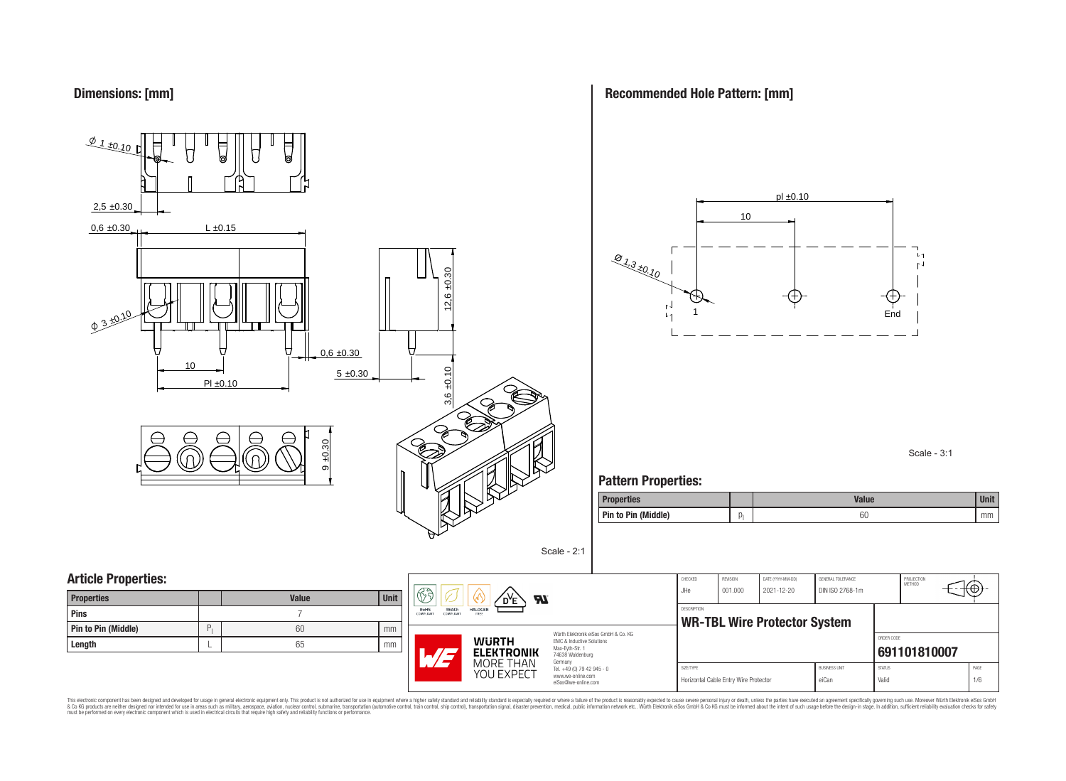

**Recommended Hole Pattern: [mm]**



Scale - 3:1

### **Pattern Properties:**

| <b>Properties</b>   | <b>Value</b> | <b>Unit</b> |
|---------------------|--------------|-------------|
| Pin to Pin (Middle) | 60           | mm          |

| <b>Properties</b>   | <b>Value</b> | <b>Unit</b> |
|---------------------|--------------|-------------|
| Pins                |              |             |
| Pin to Pin (Middle) | 60           | mm          |
| Length              | 65           | mm          |



Würth Elektronik eiSos GmbH & Co. KG EMC & Inductive Solutions Max-Eyth-Str. 1 74638 Waldenburg Germany Tel. +49 (0) 79 42 945 - 0 www.we-online.com

eiSos@we-online.com

Scale - 2:1

| CHECKED<br>JHe.<br><b>DESCRIPTION</b> | <b>REVISION</b><br>001.000            | DATE (YYYY-MM-DD)<br>2021-12-20<br><b>WR-TBL Wire Protector System</b> |                        | PROJECTION<br><b>METHOD</b> |              |      |
|---------------------------------------|---------------------------------------|------------------------------------------------------------------------|------------------------|-----------------------------|--------------|------|
|                                       |                                       |                                                                        |                        | ORDER CODE                  |              |      |
|                                       |                                       |                                                                        |                        |                             | 691101810007 |      |
| SIZE/TYPE                             |                                       |                                                                        | <b>BLISINESS LINIT</b> | <b>STATUS</b>               |              | PAGE |
|                                       | Horizontal Cable Entry Wire Protector |                                                                        | eiCan                  | Valid                       |              | 1/6  |

This electronic component has been designed and developed for usage in general electronic equipment only. This product is not authorized for subserved requipment where a higher selection equipment where a higher selection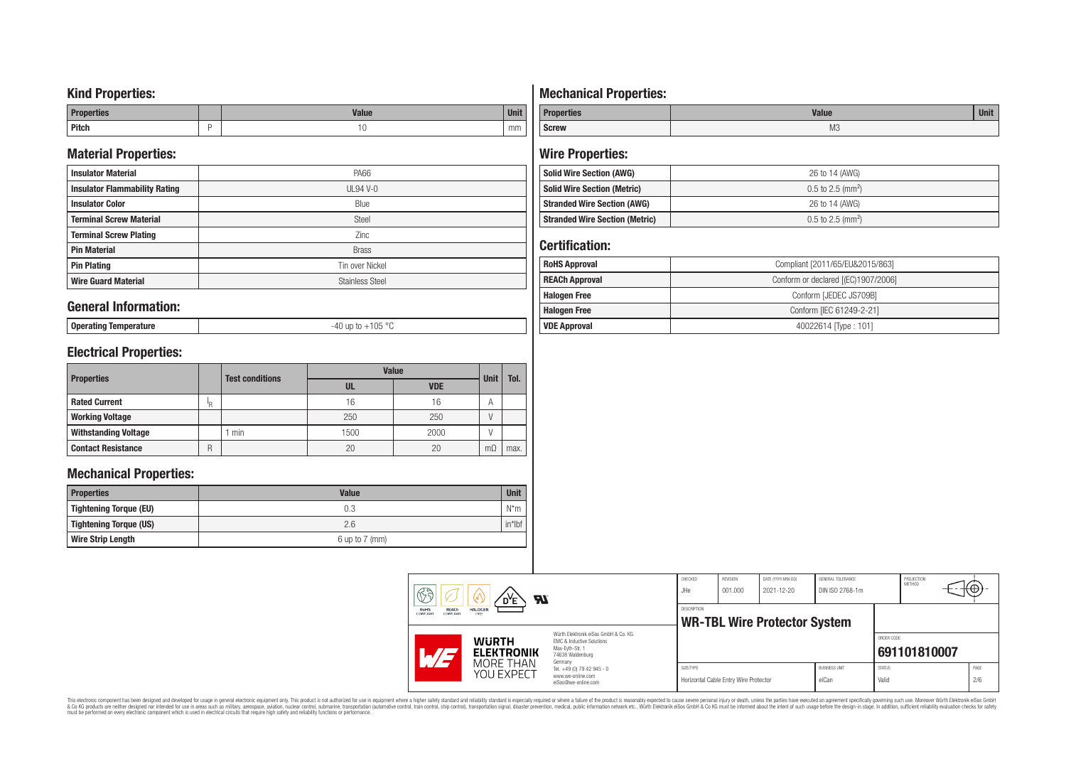### **Kind Properties:**

| <b>Properties</b> |   | <b>Moline</b><br>"dluc- | <b>Unit</b> |
|-------------------|---|-------------------------|-------------|
| <b>Pitch</b>      | - | טו                      | mm          |

### **Material Properties:**

| <b>Insulator Material</b>            | PA66                   |  |  |  |
|--------------------------------------|------------------------|--|--|--|
| <b>Insulator Flammability Rating</b> | $UL94V-0$              |  |  |  |
| <b>Insulator Color</b>               | Blue                   |  |  |  |
| <b>Terminal Screw Material</b>       | <b>Steel</b>           |  |  |  |
| <b>Terminal Screw Plating</b>        | Zinc                   |  |  |  |
| <b>Pin Material</b>                  | <b>Brass</b>           |  |  |  |
| <b>Pin Plating</b>                   | Tin over Nickel        |  |  |  |
| <b>Wire Guard Material</b>           | <b>Stainless Steel</b> |  |  |  |

### **General Information:**

**Operating Temperature** -40 up to +105 °C

# **Electrical Properties:**

| <b>Properties</b>           |     | <b>Test conditions</b> | <b>Value</b> | <b>Unit</b> |                |      |
|-----------------------------|-----|------------------------|--------------|-------------|----------------|------|
|                             |     |                        | UL           | <b>VDE</b>  |                | Tol. |
| <b>Rated Current</b>        | ΙŖ. |                        | 16           | 16          | $\overline{A}$ |      |
| <b>Working Voltage</b>      |     |                        | 250          | 250         |                |      |
| <b>Withstanding Voltage</b> |     | min                    | 1500         | 2000        |                |      |
| <b>Contact Resistance</b>   | R   |                        | 20           | 20          | $m\Omega$      | max. |

### **Mechanical Properties:**

| <b>Properties</b>        | <b>Value</b>       | <b>Unit</b> |
|--------------------------|--------------------|-------------|
| Tightening Torque (EU)   | 0.3                | $N^*m$      |
| Tightening Torque (US)   | 2.6                | $in*$ Ibf   |
| <b>Wire Strip Length</b> | $6$ up to $7$ (mm) |             |

# **Mechanical Properties:**

| <b>Properties</b> | <b>Value</b>   | <b>Unit</b> |
|-------------------|----------------|-------------|
| <b>Screw</b>      | M <sub>3</sub> |             |

# **Wire Properties:**

| <b>Solid Wire Section (AWG)</b>       | 26 to 14 (AWG)                  |  |  |
|---------------------------------------|---------------------------------|--|--|
| <b>Solid Wire Section (Metric)</b>    | $0.5$ to 2.5 (mm <sup>2</sup> ) |  |  |
| <b>Stranded Wire Section (AWG)</b>    | 26 to 14 (AWG)                  |  |  |
| <b>Stranded Wire Section (Metric)</b> | $0.5$ to 2.5 (mm <sup>2</sup> ) |  |  |

# **Certification:**

| <b>RoHS Approval</b>  | Compliant [2011/65/EU&2015/863]     |  |  |  |
|-----------------------|-------------------------------------|--|--|--|
| <b>REACh Approval</b> | Conform or declared [(EC)1907/2006] |  |  |  |
| <b>Halogen Free</b>   | Conform [JEDEC JS709B]              |  |  |  |
| <b>Halogen Free</b>   | Conform [IEC 61249-2-21]            |  |  |  |
| <b>VDE Approval</b>   | 40022614 Type: 101]                 |  |  |  |

|  | H<br><b>Al</b><br><b>REACh</b><br><b>HALOGEN</b><br><b>RoHS</b><br>COMPLIANT<br><b>COMPLIANT</b><br>FREE<br>Würth Elektronik eiSos GmbH & Co. KG<br><b>WURTH</b><br>EMC & Inductive Solutions<br>Max-Evth-Str. 1<br><b>ELEKTRONIK</b><br>74638 Waldenburg<br>MORE THAN<br>Germany<br>Tel. +49 (0) 79 42 945 - 0<br>YOU EXPECT<br>www.we-online.com<br>eiSos@we-online.com |  | CHECKED<br>JHe                                            | <b>REVISION</b><br>001.000 | DATE (YYYY-MM-DD)<br>2021-12-20       | GENERAL TOLERANCE<br>DIN ISO 2768-1m |                               | PROJECTION<br>METHOD   | ΨΘ.          |
|--|---------------------------------------------------------------------------------------------------------------------------------------------------------------------------------------------------------------------------------------------------------------------------------------------------------------------------------------------------------------------------|--|-----------------------------------------------------------|----------------------------|---------------------------------------|--------------------------------------|-------------------------------|------------------------|--------------|
|  |                                                                                                                                                                                                                                                                                                                                                                           |  | <b>DESCRIPTION</b><br><b>WR-TBL Wire Protector System</b> |                            |                                       | ORDER CODE                           |                               |                        |              |
|  |                                                                                                                                                                                                                                                                                                                                                                           |  |                                                           | SIZE/TYPE                  | Horizontal Cable Entry Wire Protector |                                      | <b>BUSINESS UNIT</b><br>eiCan | <b>STATUS</b><br>Valid | 691101810007 |

This electronic component has been designed and developed for usage in general electronic equipment only. This product is not authorized for subserved requipment where a higher selection equipment where a higher selection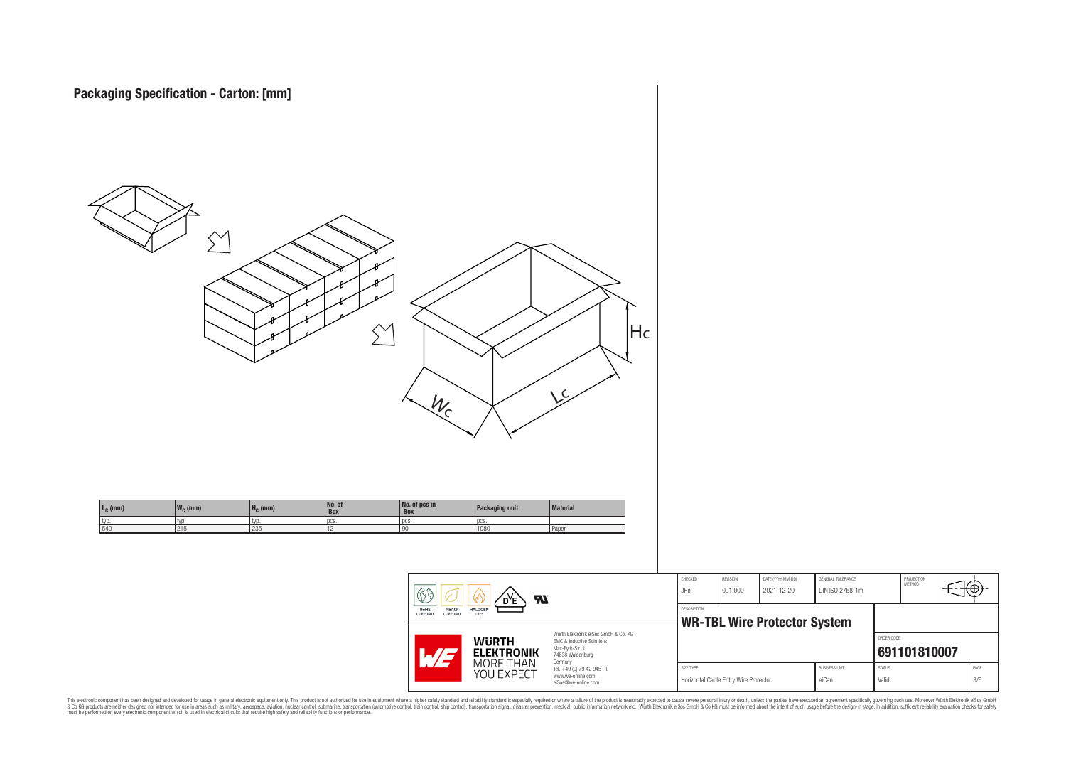

This electronic component has been designed and developed for usage in general electronic equipment only. This product is not authorized for subserved requipment where a higher selection equipment where a higher selection

PROJECTION<br>METHOD

ю

**[691101810007](https://www.we-online.com/catalog/en/article/691101810007)**

ORDER CODE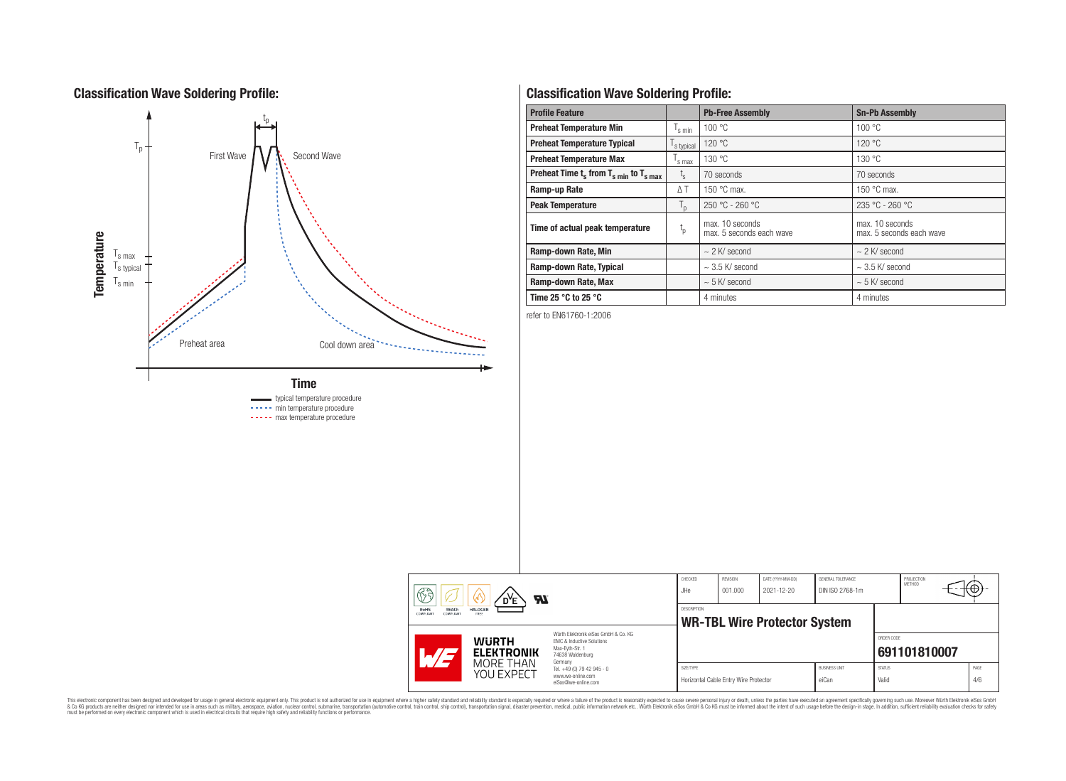# **Classification Wave Soldering Profile:**



----- min temperature procedure ----- max temperature procedure

# **Classification Wave Soldering Profile:**

| <b>Profile Feature</b>                             |                               | <b>Pb-Free Assembly</b>                     | <b>Sn-Pb Assembly</b>                       |
|----------------------------------------------------|-------------------------------|---------------------------------------------|---------------------------------------------|
| <b>Preheat Temperature Min</b>                     | $\mathsf{I}_{\mathsf{S}}$ min | 100 °C                                      | 100 °C                                      |
| <b>Preheat Temperature Typical</b>                 | s typical                     | 120 °C                                      | 120 °C                                      |
| <b>Preheat Temperature Max</b>                     | s max                         | 130 °C                                      | 130 °C                                      |
| Preheat Time $t_s$ from $T_{s,min}$ to $T_{s,max}$ | $L_{\rm S}$                   | 70 seconds                                  | 70 seconds                                  |
| Ramp-up Rate                                       | $\Delta T$                    | 150 $\degree$ C max.                        | 150 $\degree$ C max.                        |
| <b>Peak Temperature</b>                            | $T_{\rm p}$                   | $250 °C - 260 °C$                           | $235 °C - 260 °C$                           |
| Time of actual peak temperature                    | $t_{p}$                       | max. 10 seconds<br>max. 5 seconds each wave | max. 10 seconds<br>max. 5 seconds each wave |
| Ramp-down Rate, Min                                |                               | $\sim$ 2 K/ second                          | $\sim$ 2 K/ second                          |
| Ramp-down Rate, Typical                            |                               | $\sim$ 3.5 K/ second                        | $\sim$ 3.5 K/ second                        |
| Ramp-down Rate, Max                                |                               | $\sim$ 5 K/ second                          | $\sim$ 5 K/ second                          |
| Time 25 $^{\circ}$ C to 25 $^{\circ}$ C            |                               | 4 minutes                                   | 4 minutes                                   |

refer to EN61760-1:2006

| ୡୠ<br>Яï<br>D <sup>Y</sup> E                                 |                                                                     | CHECKED<br>JHe                                                                                                                                                                                | REVISION<br>001.000                                       | DATE (YYYY-MM-DD)<br>2021-12-20       | GENERAL TOLERANCE<br>DIN ISO 2768-1m |                               | PROJECTION<br>METHOD   | tΨ           |             |
|--------------------------------------------------------------|---------------------------------------------------------------------|-----------------------------------------------------------------------------------------------------------------------------------------------------------------------------------------------|-----------------------------------------------------------|---------------------------------------|--------------------------------------|-------------------------------|------------------------|--------------|-------------|
| <b>REACh</b><br><b>RoHS</b><br><b>COMPLIANT</b><br>COMPLIANT | <b>HALOGEN</b><br>FREE                                              |                                                                                                                                                                                               | <b>DESCRIPTION</b><br><b>WR-TBL Wire Protector System</b> |                                       |                                      |                               |                        |              |             |
| $\mathcal{A}/\mathcal{A}$                                    | <b>WURTH</b><br><b>ELEKTRONIK</b><br><b>MORE THAN</b><br>YOU EXPECT | Würth Elektronik eiSos GmbH & Co. KG<br>EMC & Inductive Solutions<br>Max-Evth-Str. 1<br>74638 Waldenburg<br>Germany<br>Tel. +49 (0) 79 42 945 - 0<br>www.we-online.com<br>eiSos@we-online.com |                                                           |                                       |                                      |                               | ORDER CODE             | 691101810007 |             |
|                                                              |                                                                     |                                                                                                                                                                                               | SIZE/TYPE                                                 | Horizontal Cable Entry Wire Protector |                                      | <b>BUSINESS UNIT</b><br>eiCan | <b>STATUS</b><br>Valid |              | PAGE<br>4/6 |

This electronic component has been designed and developed for usage in general electronic equipment only. This product is not authorized for subserved requipment where a higher selection equipment where a higher selection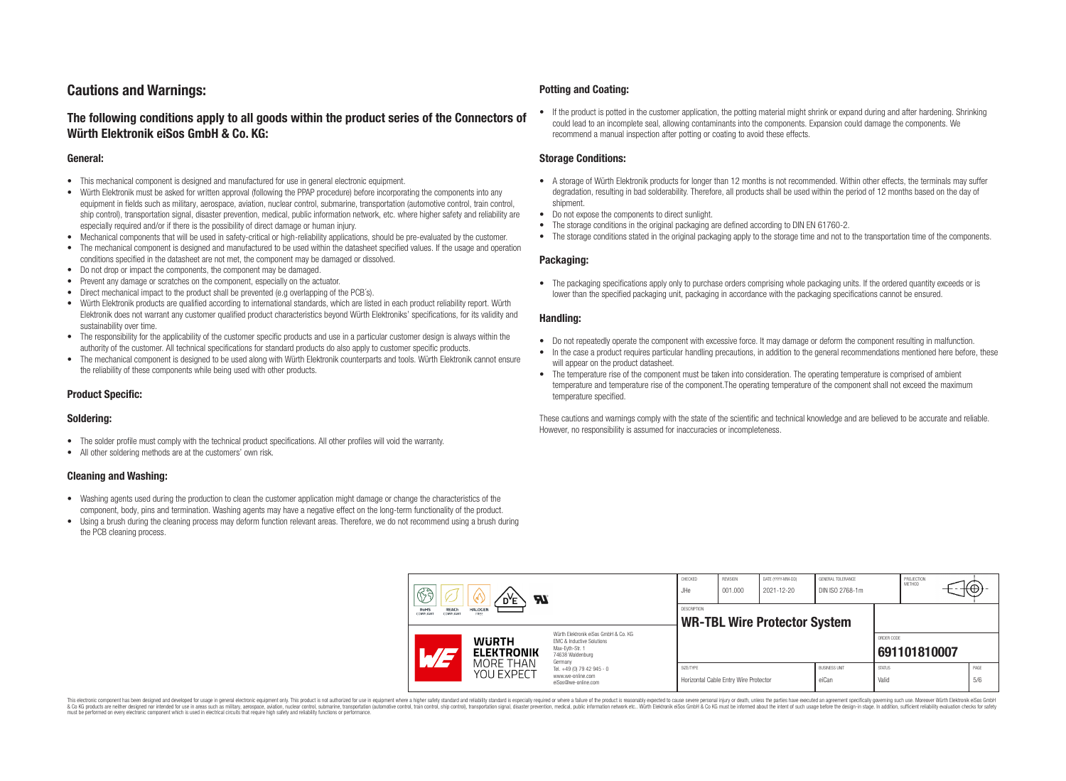# **Cautions and Warnings:**

### **The following conditions apply to all goods within the product series of the Connectors of Würth Elektronik eiSos GmbH & Co. KG:**

#### **General:**

- This mechanical component is designed and manufactured for use in general electronic equipment.
- Würth Elektronik must be asked for written approval (following the PPAP procedure) before incorporating the components into any equipment in fields such as military, aerospace, aviation, nuclear control, submarine, transportation (automotive control, train control, ship control), transportation signal, disaster prevention, medical, public information network, etc. where higher safety and reliability are especially required and/or if there is the possibility of direct damage or human injury.
- Mechanical components that will be used in safety-critical or high-reliability applications, should be pre-evaluated by the customer.
- The mechanical component is designed and manufactured to be used within the datasheet specified values. If the usage and operation conditions specified in the datasheet are not met, the component may be damaged or dissolved.
- Do not drop or impact the components, the component may be damaged.
- Prevent any damage or scratches on the component, especially on the actuator.
- Direct mechanical impact to the product shall be prevented (e.g overlapping of the PCB's).
- Würth Elektronik products are qualified according to international standards, which are listed in each product reliability report. Würth Elektronik does not warrant any customer qualified product characteristics beyond Würth Elektroniks' specifications, for its validity and sustainability over time.
- The responsibility for the applicability of the customer specific products and use in a particular customer design is always within the authority of the customer. All technical specifications for standard products do also apply to customer specific products.
- The mechanical component is designed to be used along with Würth Elektronik counterparts and tools. Würth Elektronik cannot ensure the reliability of these components while being used with other products.

#### **Product Specific:**

#### **Soldering:**

- The solder profile must comply with the technical product specifications. All other profiles will void the warranty.
- All other soldering methods are at the customers' own risk.

#### **Cleaning and Washing:**

- Washing agents used during the production to clean the customer application might damage or change the characteristics of the component, body, pins and termination. Washing agents may have a negative effect on the long-term functionality of the product.
- Using a brush during the cleaning process may deform function relevant areas. Therefore, we do not recommend using a brush during the PCB cleaning process.

#### **Potting and Coating:**

• If the product is potted in the customer application, the potting material might shrink or expand during and after hardening. Shrinking could lead to an incomplete seal, allowing contaminants into the components. Expansion could damage the components. We recommend a manual inspection after potting or coating to avoid these effects.

#### **Storage Conditions:**

- A storage of Würth Elektronik products for longer than 12 months is not recommended. Within other effects, the terminals may suffer degradation, resulting in bad solderability. Therefore, all products shall be used within the period of 12 months based on the day of shipment.
- Do not expose the components to direct sunlight.
- The storage conditions in the original packaging are defined according to DIN EN 61760-2.
- The storage conditions stated in the original packaging apply to the storage time and not to the transportation time of the components.

#### **Packaging:**

• The packaging specifications apply only to purchase orders comprising whole packaging units. If the ordered quantity exceeds or is lower than the specified packaging unit, packaging in accordance with the packaging specifications cannot be ensured.

#### **Handling:**

- Do not repeatedly operate the component with excessive force. It may damage or deform the component resulting in malfunction.
- In the case a product requires particular handling precautions, in addition to the general recommendations mentioned here before, these will appear on the product datasheet
- The temperature rise of the component must be taken into consideration. The operating temperature is comprised of ambient temperature and temperature rise of the component.The operating temperature of the component shall not exceed the maximum temperature specified.

These cautions and warnings comply with the state of the scientific and technical knowledge and are believed to be accurate and reliable. However, no responsibility is assumed for inaccuracies or incompleteness.

| B<br><b>Al</b><br>RoHS<br><b>HALOGEN</b><br><b>REACh</b><br>COMPLIANT<br>COMPLIANT<br>FREE |                                                                                                                                |           | <b>REVISION</b><br>001.000            | DATE (YYYY-MM-DD)<br>2021-12-20     | GENERAL TOLERANCE<br>DIN ISO 2768-1m |                        | PROJECTION<br>METHOD | (⊕          |
|--------------------------------------------------------------------------------------------|--------------------------------------------------------------------------------------------------------------------------------|-----------|---------------------------------------|-------------------------------------|--------------------------------------|------------------------|----------------------|-------------|
|                                                                                            |                                                                                                                                |           |                                       | <b>WR-TBL Wire Protector System</b> |                                      |                        |                      |             |
| <b>WURTH</b><br><b>ELEKTRONIK</b>                                                          | Würth Elektronik eiSos GmbH & Co. KG<br><b>EMC &amp; Inductive Solutions</b><br>Max-Eyth-Str. 1<br>74638 Waldenburg<br>Germany |           |                                       |                                     |                                      | ORDER CODE             | 691101810007         |             |
| MORE THAN<br>YOU EXPECT                                                                    | Tel. +49 (0) 79 42 945 - 0<br>www.we-online.com<br>eiSos@we-online.com                                                         | SIZE/TYPE | Horizontal Cable Entry Wire Protector |                                     | <b>BUSINESS UNIT</b><br>eiCan        | <b>STATUS</b><br>Valid |                      | PAGE<br>5/6 |

This electronic component has been designed and developed for usage in general electronic equipment only. This product is not authorized for use in equipment where a higher safety standard and reliability standard si espec & Ook product a label and the membed of the seasuch as marked and as which such a membed and the such assume that income in the seasuch and the simulation and the such assume that include to the such a membed and the such